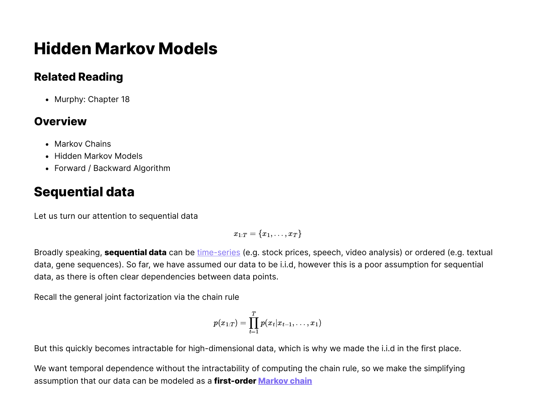# **Hidden Markov Models**

### **Related Reading**

• Murphy: Chapter 18

### **Overview**

- Markov Chains
- Hidden Markov Models
- Forward / Backward Algorithm

## **Sequential data**

Let us turn our attention to sequential data

 $x_{1:T} = \{x_1, \ldots, x_T\}$ 

Broadly speaking, **sequential data** can be [time-series](https://en.wikipedia.org/wiki/Time_series) (e.g. stock prices, speech, video analysis) or ordered (e.g. textual data, gene sequences). So far, we have assumed our data to be i.i.d, however this is a poor assumption for sequential data, as there is often clear dependencies between data points.

Recall the general joint factorization via the chain rule

$$
p(x_{1:T}) = \prod_{t=1}^T p(x_t | x_{t-1}, \ldots, x_1)
$$

But this quickly becomes intractable for high-dimensional data, which is why we made the i.i.d in the first place.

We want temporal dependence without the intractability of computing the chain rule, so we make the simplifying assumption that our data can be modeled as a **first-order [Markov](https://en.wikipedia.org/wiki/Markov_chain) chain**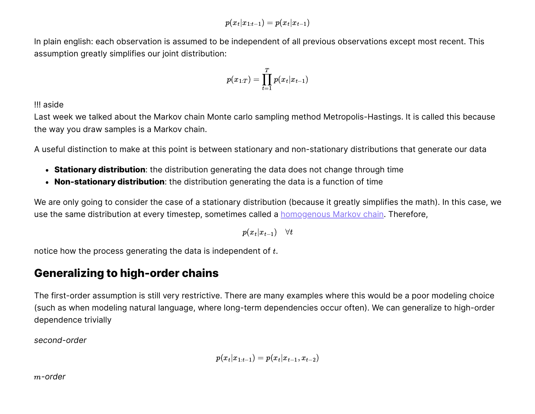$p(x_t|x_{1:t-1}) = p(x_t|x_{t-1})$ 

In plain english: each observation is assumed to be independent of all previous observations except most recent. This assumption greatly simplifies our joint distribution:

$$
p(x_{1:T}) = \prod_{t=1}^T p(x_t | x_{t-1})
$$

!!! aside

Last week we talked about the Markov chain Monte carlo sampling method Metropolis-Hastings. It is called this because the way you draw samples is a Markov chain.

A useful distinction to make at this point is between stationary and non-stationary distributions that generate our data

- **Stationary distribution**: the distribution generating the data does not change through time
- **Non-stationary distribution**: the distribution generating the data is a function of time

We are only going to consider the case of a stationary distribution (because it greatly simplifies the math). In this case, we use the same distribution at every timestep, sometimes called a **[homogenous Markov chain](https://en.wikipedia.org/wiki/Markov_chain#Variations)**. Therefore,

 $p(x_t | x_{t-1}) \quad \forall t$ 

notice how the process generating the data is independent of  $t.$ 

### **Generalizing to high-order chains**

The first-order assumption is still very restrictive. There are many examples where this would be a poor modeling choice (such as when modeling natural language, where long-term dependencies occur often). We can generalize to high-order dependence trivially

*second-order*

$$
p(x_t|x_{1:t-1}) = p(x_t|x_{t-1},x_{t-2})
$$

*-order* m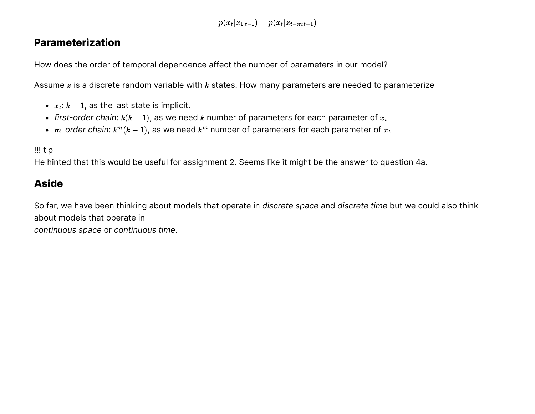$p(x_t|x_{1:t-1}) = p(x_t|x_{t-m:t-1})$ 

#### **Parameterization**

How does the order of temporal dependence affect the number of parameters in our model?

Assume  $x$  is a discrete random variable with  $k$  states. How many parameters are needed to parameterize

- $x_t$ :  $k 1$ , as the last state is implicit.
- $\bar{f}$  *first-order chain:*  $k(k 1)$ *,* as we need  $k$  number of parameters for each parameter of  $x_t$
- $m$ -order chain:  $k^m(k-1)$ , as we need  $k^m$  number of parameters for each parameter of  $x_t$

#### !!! tip

He hinted that this would be useful for assignment 2. Seems like it might be the answer to question 4a.

#### **Aside**

So far, we have been thinking about models that operate in *discrete space* and *discrete time* but we could also think about models that operate in *continuous space* or *continuous time*.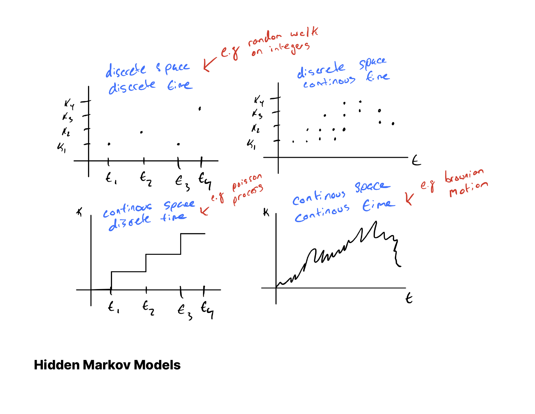

### **Hidden Markov Models**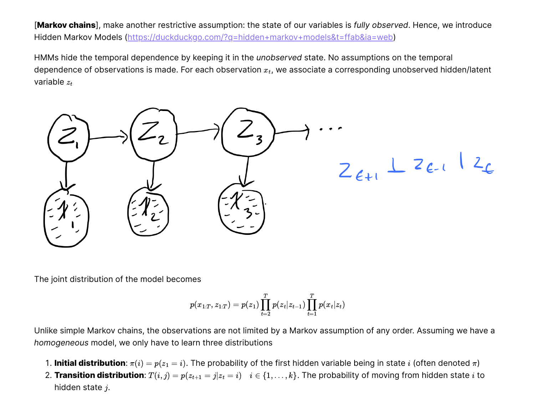[**Markov chains**], make another restrictive assumption: the state of our variables is *fully observed*. Hence, we introduce Hidden Markov Models ([https://duckduckgo.com/?q=hidden+markov+models&t=ffab&ia=web\)](https://duckduckgo.com/?q=hidden+markov+models&t=ffab&ia=web)

HMMs hide the temporal dependence by keeping it in the *unobserved* state. No assumptions on the temporal dependence of observations is made. For each observation  $x_t$ , we associate a corresponding unobserved hidden/latent variable  $z_t$ 



The joint distribution of the model becomes

$$
p(x_{1:T},z_{1:T}) = p(z_1) \prod_{t=2}^T p(z_t|z_{t-1}) \prod_{t=1}^T p(x_t|z_t)
$$

Unlike simple Markov chains, the observations are not limited by a Markov assumption of any order. Assuming we have a *homogeneous* model, we only have to learn three distributions

- 1. **Initial distribution**:  $\pi(i) = p(z_1 = i)$ . The probability of the first hidden variable being in state i (often denoted  $\pi$ )
- 2. **Transition distribution**:  $T(i, j) = p(z_{t+1} = j | z_t = i)$   $i \in \{1, ..., k\}$ . The probability of moving from hidden state i to hidden state  $j.$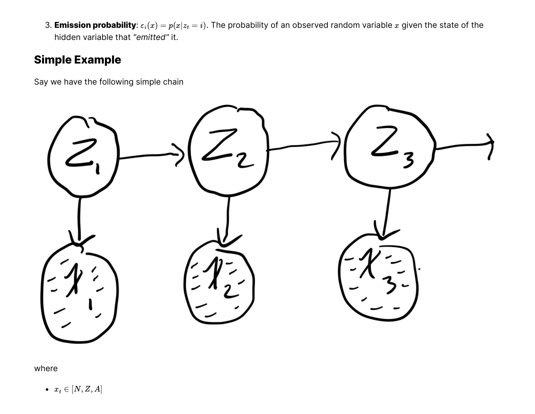3. **Emission probability**:  $\varepsilon_i(x) = p(x|z_t = i)$ . The probability of an observed random variable x given the state of the hidden variable that *"emitted"* it.

### **Simple Example**

Say we have the following simple chain



where

 $x_t \in [N, Z, A]$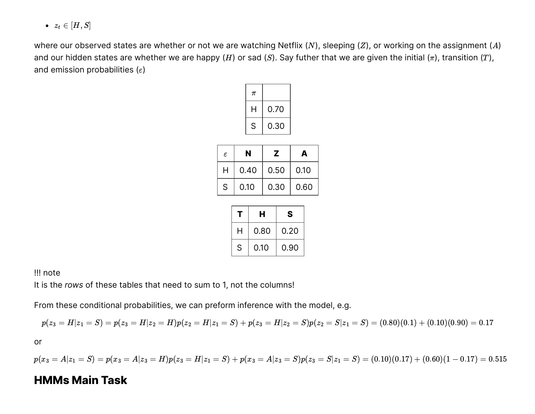$\bullet \ \ z_t \in [H,S]$ 

where our observed states are whether or not we are watching Netflix (N), sleeping (Z), or working on the assignment (A) and our hidden states are whether we are happy (*H*) or sad (*S*). Say futher that we are given the initial ( $\pi$ ), transition (T), and emission probabilities ( $\varepsilon$ )

| $\pi$ |      |
|-------|------|
| н     | 0.70 |
| S     | 0.30 |

| $\varepsilon$ | N    | z    | А    |
|---------------|------|------|------|
| н             | 0.40 | 0.50 | 0.10 |
| S             | 0.10 | 0.30 | 0.60 |

|   | н    | S    |
|---|------|------|
| H | 0.80 | 0.20 |
| S | 0.10 | 0.90 |

!!! note

It is the *rows* of these tables that need to sum to 1, not the columns!

From these conditional probabilities, we can preform inference with the model, e.g.

$$
p(z_3=H|z_1=S)=p(z_3=H|z_2=H)p(z_2=H|z_1=S)+p(z_3=H|z_2=S)p(z_2=S|z_1=S)=(0.80)(0.1)+(0.10)(0.90)=0.17\\
$$

or

$$
p(x_3=A|z_1=S)=p(x_3=A|z_3=B)p(z_3=H|z_1=S)+p(x_3=A|z_3=S)p(z_3=S|z_1=S)=(0.10)(0.17)+(0.60)(1-0.17)=0.515
$$

#### **HMMs Main Task**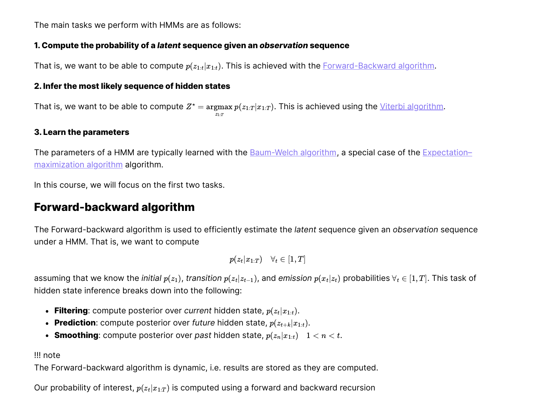The main tasks we perform with HMMs are as follows:

#### **1. Compute the probability of a** *latent* **sequence given an** *observation* **sequence**

That is, we want to be able to compute  $p(z_{1:t}|x_{1:t})$ . This is achieved with the **[Forward-Backward algorithm](https://en.wikipedia.org/wiki/Forward%E2%80%93backward_algorithm)**.

#### **2. Infer the most likely sequence of hidden states**

That is, we want to be able to compute  $Z^* = \argmax p(z_{1:T} | x_{1:T})$ . This is achieved using the <u>[Viterbi algorithm](https://en.wikipedia.org/wiki/Viterbi_algorithm)</u>.  $z_{1:T}$ 

#### **3. Learn the parameters**

[The parameters of a HMM are typically learned with the](https://en.wikipedia.org/wiki/Expectation%E2%80%93maximization_algorithm) **Baum-Welch algorithm**, a special case of the **Expectation**maximization algorithm algorithm.

In this course, we will focus on the first two tasks.

### **Forward-backward algorithm**

The Forward-backward algorithm is used to efficiently estimate the *latent* sequence given an *observation* sequence under a HMM. That is, we want to compute

$$
p(z_t|x_{1:T}) \quad \forall_t \in [1,T]
$$

assuming that we know the *initial*  $p(z_1)$ *, transition*  $p(z_t|z_{t-1})$ *,* and *emission*  $p(x_t|z_t)$  *probabilities*  $\forall_t\in[1,T].$  *This task of* hidden state inference breaks down into the following:

- **Filtering**: compute posterior over *current* hidden state,  $p(z_t|x_{1:t})$ .
- **Prediction**: compute posterior over future hidden state,  $p(z_{t+k}|x_{1:t})$ .
- **Smoothing**: compute posterior over past hidden state,  $p(z_n|x_{1:t})$   $1 < n < t$ .

#### !!! note

The Forward-backward algorithm is dynamic, i.e. results are stored as they are computed.

Our probability of interest,  $p(z_t|x_{1:T})$  is computed using a forward and backward recursion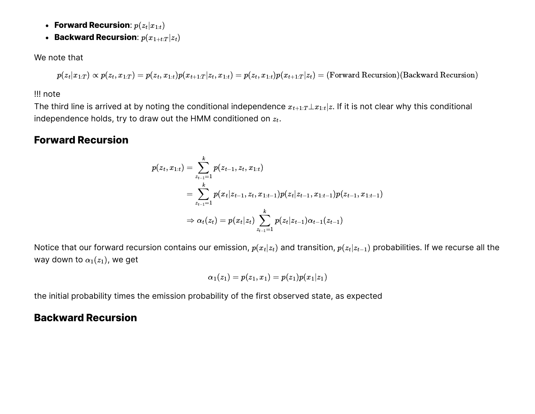- **Forward Recursion:**  $p(z_t|x_{1:t})$
- **Backward Recursion**:  $p(x_{1+t:T} | z_t)$

We note that

 $p(z_t|x_{1:T}) \propto p(z_t, x_{1:T}) = p(z_t, x_{1:t})p(x_{t+1:T}|z_t, x_{1:t}) = p(z_t, x_{1:t})p(x_{t+1:T}|z_t) = (Forward Recursion)(Backward Recursion))$ 

!!! note

The third line is arrived at by noting the conditional independence  $x_{t+1:T} \bot x_{1:t}|z.$  If it is not clear why this conditional independence holds, try to draw out the HMM conditioned on  $z_t.$ 

#### **Forward Recursion**

$$
\begin{aligned} p(z_t,x_{1:t})&=\sum_{z_{t-1}=1}^k p(z_{t-1},z_t,x_{1:t})\\ &=\sum_{z_{t-1}=1}^k p(x_t|z_{t-1},z_t,x_{1:t-1})p(z_t|z_{t-1},x_{1:t-1})p(z_{t-1},x_{1:t-1})\\ &\Rightarrow \alpha_t(z_t)=p(x_t|z_t)\sum_{z_{t-1}=1}^k p(z_t|z_{t-1})\alpha_{t-1}(z_{t-1})\end{aligned}
$$

Notice that our forward recursion contains our emission,  $p(x_t|z_t)$  and transition,  $p(z_t|z_{t-1})$  probabilities. If we recurse all the way down to  $\alpha_1(z_1)$ , we get

$$
\alpha_1(z_1)=p(z_1,x_1)=p(z_1)p(x_1|z_1)
$$

the initial probability times the emission probability of the first observed state, as expected

#### **Backward Recursion**